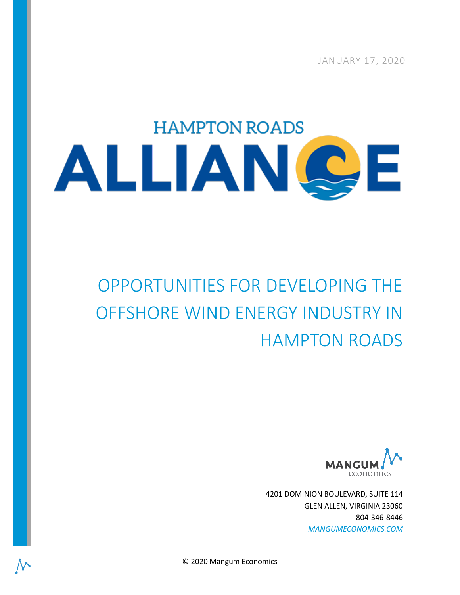JANUARY 17, 2020

# **HAMPTON ROADS** ALLIANCE

# OPPORTUNITIES FOR DEVELOPING THE OFFSHORE WIND ENERGY INDUSTRY IN HAMPTON ROADS



4201 DOMINION BOULEVARD, SUITE 114 GLEN ALLEN, VIRGINIA 23060 804-346-8446 *MANGUMECONOMICS.COM*

© 2020 Mangum Economics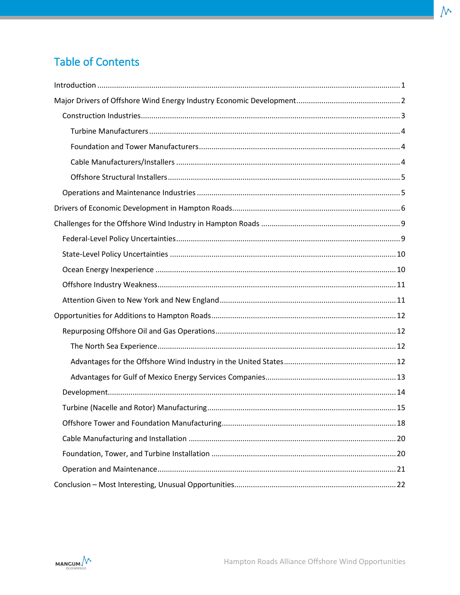# **Table of Contents**

 $\mathcal{N}$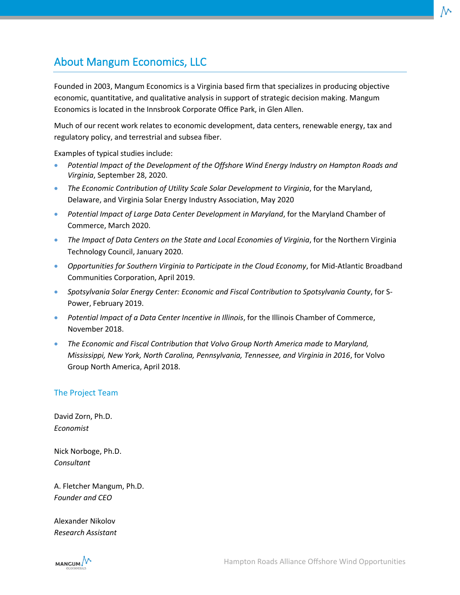# About Mangum Economics, LLC

Founded in 2003, Mangum Economics is a Virginia based firm that specializes in producing objective economic, quantitative, and qualitative analysis in support of strategic decision making. Mangum Economics is located in the Innsbrook Corporate Office Park, in Glen Allen.

Much of our recent work relates to economic development, data centers, renewable energy, tax and regulatory policy, and terrestrial and subsea fiber.

Examples of typical studies include:

- *Potential Impact of the Development of the Offshore Wind Energy Industry on Hampton Roads and Virginia*, September 28, 2020.
- *The Economic Contribution of Utility Scale Solar Development to Virginia*, for the Maryland, Delaware, and Virginia Solar Energy Industry Association, May 2020
- *Potential Impact of Large Data Center Development in Maryland*, for the Maryland Chamber of Commerce, March 2020.
- *The Impact of Data Centers on the State and Local Economies of Virginia*, for the Northern Virginia Technology Council, January 2020.
- *Opportunities for Southern Virginia to Participate in the Cloud Economy*, for Mid-Atlantic Broadband Communities Corporation, April 2019.
- *Spotsylvania Solar Energy Center: Economic and Fiscal Contribution to Spotsylvania County*, for S-Power, February 2019.
- *Potential Impact of a Data Center Incentive in Illinois*, for the Illinois Chamber of Commerce, November 2018.
- *The Economic and Fiscal Contribution that Volvo Group North America made to Maryland, Mississippi, New York, North Carolina, Pennsylvania, Tennessee, and Virginia in 2016*, for Volvo Group North America, April 2018.

#### The Project Team

David Zorn, Ph.D. *Economist*

Nick Norboge, Ph.D. *Consultant*

A. Fletcher Mangum, Ph.D. *Founder and CEO*

Alexander Nikolov *Research Assistant*

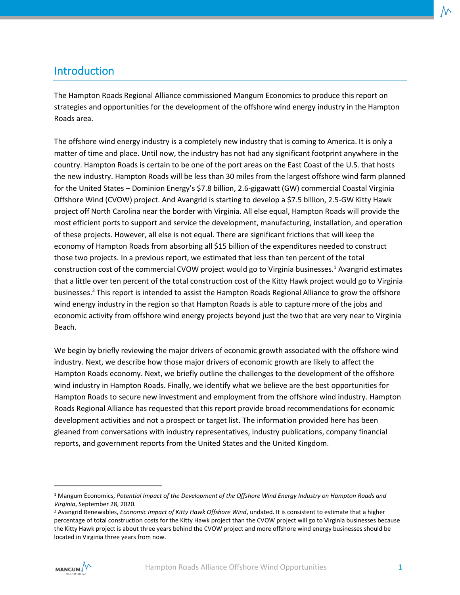## <span id="page-3-0"></span>Introduction

The Hampton Roads Regional Alliance commissioned Mangum Economics to produce this report on strategies and opportunities for the development of the offshore wind energy industry in the Hampton Roads area.

The offshore wind energy industry is a completely new industry that is coming to America. It is only a matter of time and place. Until now, the industry has not had any significant footprint anywhere in the country. Hampton Roads is certain to be one of the port areas on the East Coast of the U.S. that hosts the new industry. Hampton Roads will be less than 30 miles from the largest offshore wind farm planned for the United States – Dominion Energy's \$7.8 billion, 2.6-gigawatt (GW) commercial Coastal Virginia Offshore Wind (CVOW) project. And Avangrid is starting to develop a \$7.5 billion, 2.5-GW Kitty Hawk project off North Carolina near the border with Virginia. All else equal, Hampton Roads will provide the most efficient ports to support and service the development, manufacturing, installation, and operation of these projects. However, all else is not equal. There are significant frictions that will keep the economy of Hampton Roads from absorbing all \$15 billion of the expenditures needed to construct those two projects. In a previous report, we estimated that less than ten percent of the total construction cost of the commercial CVOW project would go to Virginia businesses.<sup>1</sup> Avangrid estimates that a little over ten percent of the total construction cost of the Kitty Hawk project would go to Virginia businesses.<sup>2</sup> This report is intended to assist the Hampton Roads Regional Alliance to grow the offshore wind energy industry in the region so that Hampton Roads is able to capture more of the jobs and economic activity from offshore wind energy projects beyond just the two that are very near to Virginia Beach.

We begin by briefly reviewing the major drivers of economic growth associated with the offshore wind industry. Next, we describe how those major drivers of economic growth are likely to affect the Hampton Roads economy. Next, we briefly outline the challenges to the development of the offshore wind industry in Hampton Roads. Finally, we identify what we believe are the best opportunities for Hampton Roads to secure new investment and employment from the offshore wind industry. Hampton Roads Regional Alliance has requested that this report provide broad recommendations for economic development activities and not a prospect or target list. The information provided here has been gleaned from conversations with industry representatives, industry publications, company financial reports, and government reports from the United States and the United Kingdom.

<sup>2</sup> Avangrid Renewables, *Economic Impact of Kitty Hawk Offshore Wind*, undated. It is consistent to estimate that a higher percentage of total construction costs for the Kitty Hawk project than the CVOW project will go to Virginia businesses because the Kitty Hawk project is about three years behind the CVOW project and more offshore wind energy businesses should be located in Virginia three years from now.



<sup>1</sup> Mangum Economics, *Potential Impact of the Development of the Offshore Wind Energy Industry on Hampton Roads and Virginia*, September 28, 2020.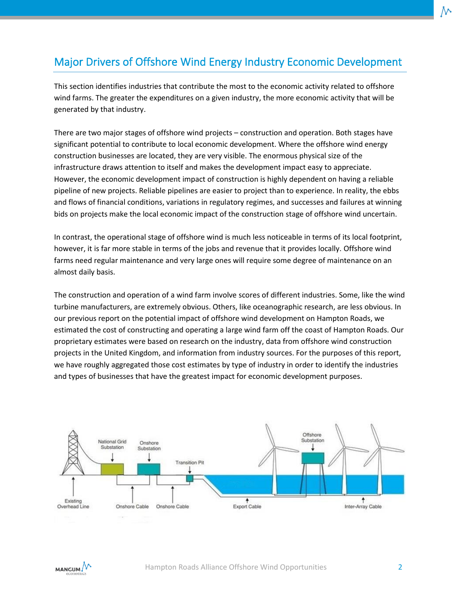# <span id="page-4-0"></span>Major Drivers of Offshore Wind Energy Industry Economic Development

This section identifies industries that contribute the most to the economic activity related to offshore wind farms. The greater the expenditures on a given industry, the more economic activity that will be generated by that industry.

There are two major stages of offshore wind projects – construction and operation. Both stages have significant potential to contribute to local economic development. Where the offshore wind energy construction businesses are located, they are very visible. The enormous physical size of the infrastructure draws attention to itself and makes the development impact easy to appreciate. However, the economic development impact of construction is highly dependent on having a reliable pipeline of new projects. Reliable pipelines are easier to project than to experience. In reality, the ebbs and flows of financial conditions, variations in regulatory regimes, and successes and failures at winning bids on projects make the local economic impact of the construction stage of offshore wind uncertain.

In contrast, the operational stage of offshore wind is much less noticeable in terms of its local footprint, however, it is far more stable in terms of the jobs and revenue that it provides locally. Offshore wind farms need regular maintenance and very large ones will require some degree of maintenance on an almost daily basis.

The construction and operation of a wind farm involve scores of different industries. Some, like the wind turbine manufacturers, are extremely obvious. Others, like oceanographic research, are less obvious. In our previous report on the potential impact of offshore wind development on Hampton Roads, we estimated the cost of constructing and operating a large wind farm off the coast of Hampton Roads. Our proprietary estimates were based on research on the industry, data from offshore wind construction projects in the United Kingdom, and information from industry sources. For the purposes of this report, we have roughly aggregated those cost estimates by type of industry in order to identify the industries and types of businesses that have the greatest impact for economic development purposes.



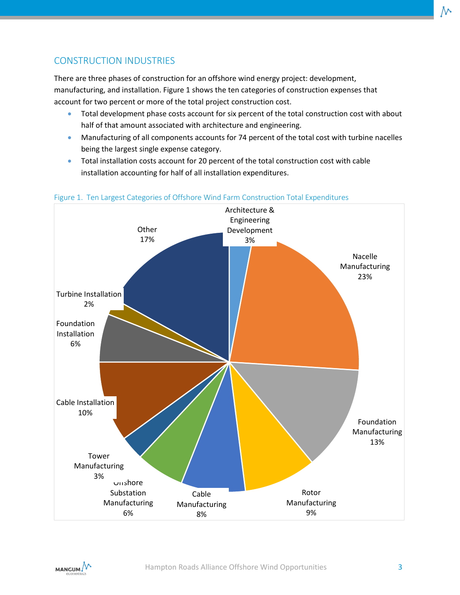### <span id="page-5-0"></span>CONSTRUCTION INDUSTRIES

There are three phases of construction for an offshore wind energy project: development, manufacturing, and installation. Figure 1 shows the ten categories of construction expenses that account for two percent or more of the total project construction cost.

- Total development phase costs account for six percent of the total construction cost with about half of that amount associated with architecture and engineering.
- Manufacturing of all components accounts for 74 percent of the total cost with turbine nacelles being the largest single expense category.
- Total installation costs account for 20 percent of the total construction cost with cable installation accounting for half of all installation expenditures.



#### Figure 1. Ten Largest Categories of Offshore Wind Farm Construction Total Expenditures

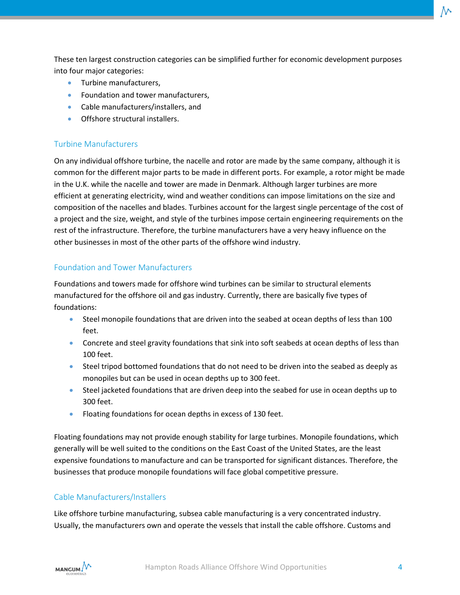These ten largest construction categories can be simplified further for economic development purposes into four major categories:

- Turbine manufacturers,
- Foundation and tower manufacturers,
- Cable manufacturers/installers, and
- Offshore structural installers.

#### <span id="page-6-0"></span>Turbine Manufacturers

On any individual offshore turbine, the nacelle and rotor are made by the same company, although it is common for the different major parts to be made in different ports. For example, a rotor might be made in the U.K. while the nacelle and tower are made in Denmark. Although larger turbines are more efficient at generating electricity, wind and weather conditions can impose limitations on the size and composition of the nacelles and blades. Turbines account for the largest single percentage of the cost of a project and the size, weight, and style of the turbines impose certain engineering requirements on the rest of the infrastructure. Therefore, the turbine manufacturers have a very heavy influence on the other businesses in most of the other parts of the offshore wind industry.

#### <span id="page-6-1"></span>Foundation and Tower Manufacturers

Foundations and towers made for offshore wind turbines can be similar to structural elements manufactured for the offshore oil and gas industry. Currently, there are basically five types of foundations:

- Steel monopile foundations that are driven into the seabed at ocean depths of less than 100 feet.
- Concrete and steel gravity foundations that sink into soft seabeds at ocean depths of less than 100 feet.
- Steel tripod bottomed foundations that do not need to be driven into the seabed as deeply as monopiles but can be used in ocean depths up to 300 feet.
- Steel jacketed foundations that are driven deep into the seabed for use in ocean depths up to 300 feet.
- Floating foundations for ocean depths in excess of 130 feet.

Floating foundations may not provide enough stability for large turbines. Monopile foundations, which generally will be well suited to the conditions on the East Coast of the United States, are the least expensive foundations to manufacture and can be transported for significant distances. Therefore, the businesses that produce monopile foundations will face global competitive pressure.

#### <span id="page-6-2"></span>Cable Manufacturers/Installers

Like offshore turbine manufacturing, subsea cable manufacturing is a very concentrated industry. Usually, the manufacturers own and operate the vessels that install the cable offshore. Customs and

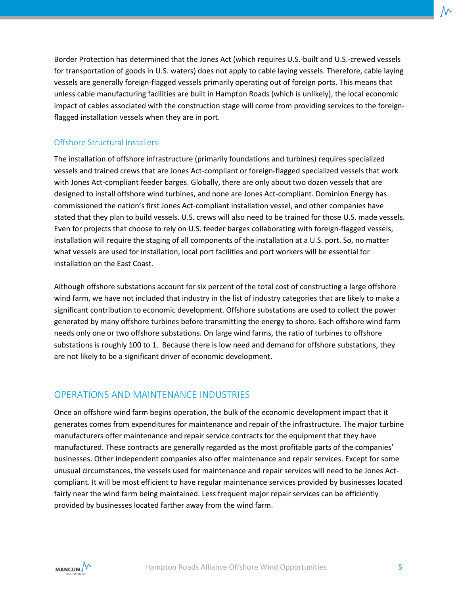Border Protection has determined that the Jones Act (which requires U.S.-built and U.S.-crewed vessels for transportation of goods in U.S. waters) does not apply to cable laying vessels. Therefore, cable laying vessels are generally foreign-flagged vessels primarily operating out of foreign ports. This means that unless cable manufacturing facilities are built in Hampton Roads (which is unlikely), the local economic impact of cables associated with the construction stage will come from providing services to the foreignflagged installation vessels when they are in port.

#### <span id="page-7-0"></span>Offshore Structural Installers

The installation of offshore infrastructure (primarily foundations and turbines) requires specialized vessels and trained crews that are Jones Act-compliant or foreign-flagged specialized vessels that work with Jones Act-compliant feeder barges. Globally, there are only about two dozen vessels that are designed to install offshore wind turbines, and none are Jones Act-compliant. Dominion Energy has commissioned the nation's first Jones Act-compliant installation vessel, and other companies have stated that they plan to build vessels. U.S. crews will also need to be trained for those U.S. made vessels. Even for projects that choose to rely on U.S. feeder barges collaborating with foreign-flagged vessels, installation will require the staging of all components of the installation at a U.S. port. So, no matter what vessels are used for installation, local port facilities and port workers will be essential for installation on the East Coast.

Although offshore substations account for six percent of the total cost of constructing a large offshore wind farm, we have not included that industry in the list of industry categories that are likely to make a significant contribution to economic development. Offshore substations are used to collect the power generated by many offshore turbines before transmitting the energy to shore. Each offshore wind farm needs only one or two offshore substations. On large wind farms, the ratio of turbines to offshore substations is roughly 100 to 1. Because there is low need and demand for offshore substations, they are not likely to be a significant driver of economic development.

#### <span id="page-7-1"></span>OPERATIONS AND MAINTENANCE INDUSTRIES

Once an offshore wind farm begins operation, the bulk of the economic development impact that it generates comes from expenditures for maintenance and repair of the infrastructure. The major turbine manufacturers offer maintenance and repair service contracts for the equipment that they have manufactured. These contracts are generally regarded as the most profitable parts of the companies' businesses. Other independent companies also offer maintenance and repair services. Except for some unusual circumstances, the vessels used for maintenance and repair services will need to be Jones Actcompliant. It will be most efficient to have regular maintenance services provided by businesses located fairly near the wind farm being maintained. Less frequent major repair services can be efficiently provided by businesses located farther away from the wind farm.

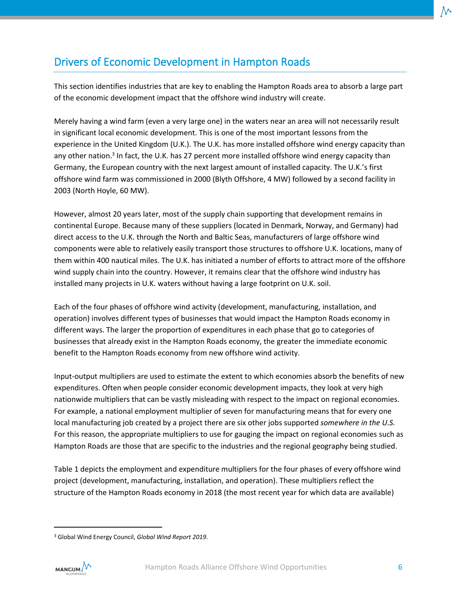# <span id="page-8-0"></span>Drivers of Economic Development in Hampton Roads

This section identifies industries that are key to enabling the Hampton Roads area to absorb a large part of the economic development impact that the offshore wind industry will create.

Merely having a wind farm (even a very large one) in the waters near an area will not necessarily result in significant local economic development. This is one of the most important lessons from the experience in the United Kingdom (U.K.). The U.K. has more installed offshore wind energy capacity than any other nation.<sup>3</sup> In fact, the U.K. has 27 percent more installed offshore wind energy capacity than Germany, the European country with the next largest amount of installed capacity. The U.K.'s first offshore wind farm was commissioned in 2000 (Blyth Offshore, 4 MW) followed by a second facility in 2003 (North Hoyle, 60 MW).

However, almost 20 years later, most of the supply chain supporting that development remains in continental Europe. Because many of these suppliers (located in Denmark, Norway, and Germany) had direct access to the U.K. through the North and Baltic Seas, manufacturers of large offshore wind components were able to relatively easily transport those structures to offshore U.K. locations, many of them within 400 nautical miles. The U.K. has initiated a number of efforts to attract more of the offshore wind supply chain into the country. However, it remains clear that the offshore wind industry has installed many projects in U.K. waters without having a large footprint on U.K. soil.

Each of the four phases of offshore wind activity (development, manufacturing, installation, and operation) involves different types of businesses that would impact the Hampton Roads economy in different ways. The larger the proportion of expenditures in each phase that go to categories of businesses that already exist in the Hampton Roads economy, the greater the immediate economic benefit to the Hampton Roads economy from new offshore wind activity.

Input-output multipliers are used to estimate the extent to which economies absorb the benefits of new expenditures. Often when people consider economic development impacts, they look at very high nationwide multipliers that can be vastly misleading with respect to the impact on regional economies. For example, a national employment multiplier of seven for manufacturing means that for every one local manufacturing job created by a project there are six other jobs supported *somewhere in the U.S.* For this reason, the appropriate multipliers to use for gauging the impact on regional economies such as Hampton Roads are those that are specific to the industries and the regional geography being studied.

Table 1 depicts the employment and expenditure multipliers for the four phases of every offshore wind project (development, manufacturing, installation, and operation). These multipliers reflect the structure of the Hampton Roads economy in 2018 (the most recent year for which data are available)

<sup>3</sup> Global Wind Energy Council, *Global Wind Report 2019*.

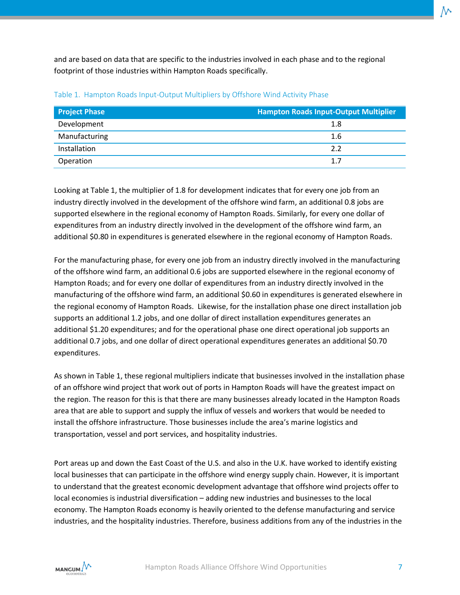and are based on data that are specific to the industries involved in each phase and to the regional footprint of those industries within Hampton Roads specifically.

| <b>Project Phase</b> | <b>Hampton Roads Input-Output Multiplier</b> |
|----------------------|----------------------------------------------|
| Development          | 1.8                                          |
| Manufacturing        | 1.6                                          |
| Installation         | 2.2                                          |
| Operation            | 1.7                                          |

#### Table 1. Hampton Roads Input-Output Multipliers by Offshore Wind Activity Phase

Looking at Table 1, the multiplier of 1.8 for development indicates that for every one job from an industry directly involved in the development of the offshore wind farm, an additional 0.8 jobs are supported elsewhere in the regional economy of Hampton Roads. Similarly, for every one dollar of expenditures from an industry directly involved in the development of the offshore wind farm, an additional \$0.80 in expenditures is generated elsewhere in the regional economy of Hampton Roads.

For the manufacturing phase, for every one job from an industry directly involved in the manufacturing of the offshore wind farm, an additional 0.6 jobs are supported elsewhere in the regional economy of Hampton Roads; and for every one dollar of expenditures from an industry directly involved in the manufacturing of the offshore wind farm, an additional \$0.60 in expenditures is generated elsewhere in the regional economy of Hampton Roads. Likewise, for the installation phase one direct installation job supports an additional 1.2 jobs, and one dollar of direct installation expenditures generates an additional \$1.20 expenditures; and for the operational phase one direct operational job supports an additional 0.7 jobs, and one dollar of direct operational expenditures generates an additional \$0.70 expenditures.

As shown in Table 1, these regional multipliers indicate that businesses involved in the installation phase of an offshore wind project that work out of ports in Hampton Roads will have the greatest impact on the region. The reason for this is that there are many businesses already located in the Hampton Roads area that are able to support and supply the influx of vessels and workers that would be needed to install the offshore infrastructure. Those businesses include the area's marine logistics and transportation, vessel and port services, and hospitality industries.

Port areas up and down the East Coast of the U.S. and also in the U.K. have worked to identify existing local businesses that can participate in the offshore wind energy supply chain. However, it is important to understand that the greatest economic development advantage that offshore wind projects offer to local economies is industrial diversification – adding new industries and businesses to the local economy. The Hampton Roads economy is heavily oriented to the defense manufacturing and service industries, and the hospitality industries. Therefore, business additions from any of the industries in the

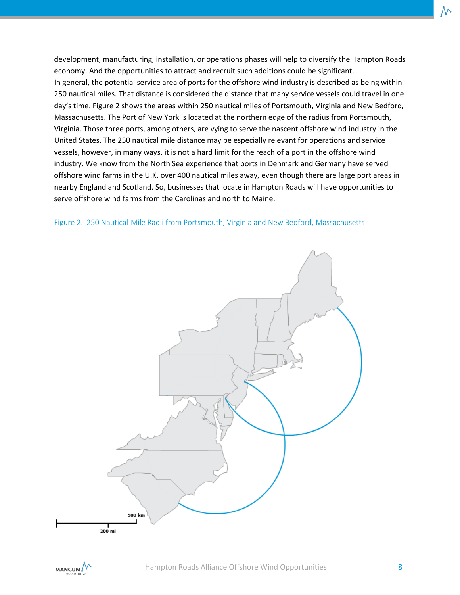development, manufacturing, installation, or operations phases will help to diversify the Hampton Roads economy. And the opportunities to attract and recruit such additions could be significant. In general, the potential service area of ports for the offshore wind industry is described as being within 250 nautical miles. That distance is considered the distance that many service vessels could travel in one day's time. Figure 2 shows the areas within 250 nautical miles of Portsmouth, Virginia and New Bedford, Massachusetts. The Port of New York is located at the northern edge of the radius from Portsmouth, Virginia. Those three ports, among others, are vying to serve the nascent offshore wind industry in the United States. The 250 nautical mile distance may be especially relevant for operations and service vessels, however, in many ways, it is not a hard limit for the reach of a port in the offshore wind industry. We know from the North Sea experience that ports in Denmark and Germany have served offshore wind farms in the U.K. over 400 nautical miles away, even though there are large port areas in nearby England and Scotland. So, businesses that locate in Hampton Roads will have opportunities to serve offshore wind farms from the Carolinas and north to Maine.





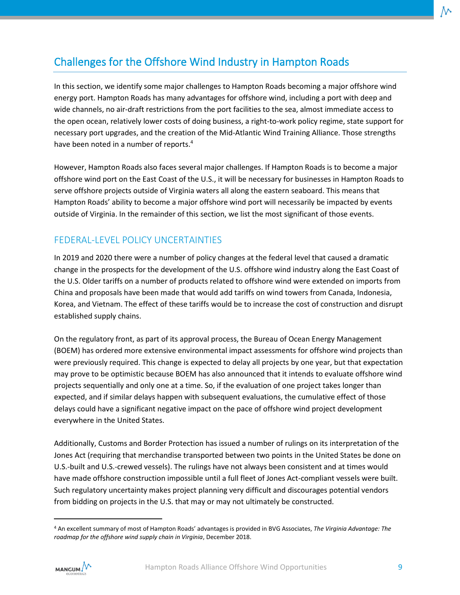# <span id="page-11-0"></span>Challenges for the Offshore Wind Industry in Hampton Roads

In this section, we identify some major challenges to Hampton Roads becoming a major offshore wind energy port. Hampton Roads has many advantages for offshore wind, including a port with deep and wide channels, no air-draft restrictions from the port facilities to the sea, almost immediate access to the open ocean, relatively lower costs of doing business, a right-to-work policy regime, state support for necessary port upgrades, and the creation of the Mid-Atlantic Wind Training Alliance. Those strengths have been noted in a number of reports.<sup>4</sup>

However, Hampton Roads also faces several major challenges. If Hampton Roads is to become a major offshore wind port on the East Coast of the U.S., it will be necessary for businesses in Hampton Roads to serve offshore projects outside of Virginia waters all along the eastern seaboard. This means that Hampton Roads' ability to become a major offshore wind port will necessarily be impacted by events outside of Virginia. In the remainder of this section, we list the most significant of those events.

#### <span id="page-11-1"></span>FEDERAL-LEVEL POLICY UNCERTAINTIES

In 2019 and 2020 there were a number of policy changes at the federal level that caused a dramatic change in the prospects for the development of the U.S. offshore wind industry along the East Coast of the U.S. Older tariffs on a number of products related to offshore wind were extended on imports from China and proposals have been made that would add tariffs on wind towers from Canada, Indonesia, Korea, and Vietnam. The effect of these tariffs would be to increase the cost of construction and disrupt established supply chains.

On the regulatory front, as part of its approval process, the Bureau of Ocean Energy Management (BOEM) has ordered more extensive environmental impact assessments for offshore wind projects than were previously required. This change is expected to delay all projects by one year, but that expectation may prove to be optimistic because BOEM has also announced that it intends to evaluate offshore wind projects sequentially and only one at a time. So, if the evaluation of one project takes longer than expected, and if similar delays happen with subsequent evaluations, the cumulative effect of those delays could have a significant negative impact on the pace of offshore wind project development everywhere in the United States.

Additionally, Customs and Border Protection has issued a number of rulings on its interpretation of the Jones Act (requiring that merchandise transported between two points in the United States be done on U.S.-built and U.S.-crewed vessels). The rulings have not always been consistent and at times would have made offshore construction impossible until a full fleet of Jones Act-compliant vessels were built. Such regulatory uncertainty makes project planning very difficult and discourages potential vendors from bidding on projects in the U.S. that may or may not ultimately be constructed.

<sup>4</sup> An excellent summary of most of Hampton Roads' advantages is provided in BVG Associates, *The Virginia Advantage: The roadmap for the offshore wind supply chain in Virginia*, December 2018.

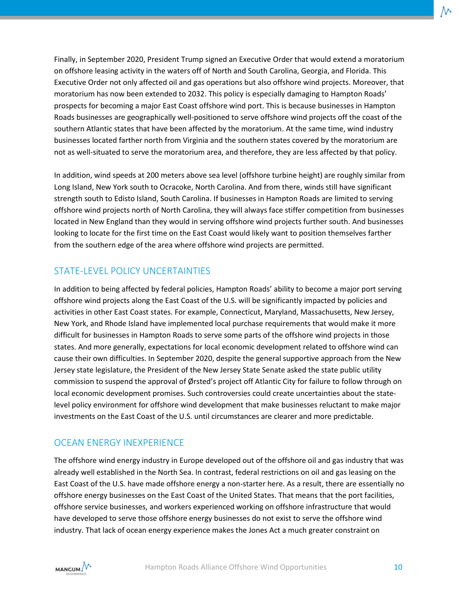Finally, in September 2020, President Trump signed an Executive Order that would extend a moratorium on offshore leasing activity in the waters off of North and South Carolina, Georgia, and Florida. This Executive Order not only affected oil and gas operations but also offshore wind projects. Moreover, that moratorium has now been extended to 2032. This policy is especially damaging to Hampton Roads' prospects for becoming a major East Coast offshore wind port. This is because businesses in Hampton Roads businesses are geographically well-positioned to serve offshore wind projects off the coast of the southern Atlantic states that have been affected by the moratorium. At the same time, wind industry businesses located farther north from Virginia and the southern states covered by the moratorium are not as well-situated to serve the moratorium area, and therefore, they are less affected by that policy.

In addition, wind speeds at 200 meters above sea level (offshore turbine height) are roughly similar from Long Island, New York south to Ocracoke, North Carolina. And from there, winds still have significant strength south to Edisto Island, South Carolina. If businesses in Hampton Roads are limited to serving offshore wind projects north of North Carolina, they will always face stiffer competition from businesses located in New England than they would in serving offshore wind projects further south. And businesses looking to locate for the first time on the East Coast would likely want to position themselves farther from the southern edge of the area where offshore wind projects are permitted.

#### <span id="page-12-0"></span>STATE-LEVEL POLICY UNCERTAINTIES

In addition to being affected by federal policies, Hampton Roads' ability to become a major port serving offshore wind projects along the East Coast of the U.S. will be significantly impacted by policies and activities in other East Coast states. For example, Connecticut, Maryland, Massachusetts, New Jersey, New York, and Rhode Island have implemented local purchase requirements that would make it more difficult for businesses in Hampton Roads to serve some parts of the offshore wind projects in those states. And more generally, expectations for local economic development related to offshore wind can cause their own difficulties. In September 2020, despite the general supportive approach from the New Jersey state legislature, the President of the New Jersey State Senate asked the state public utility commission to suspend the approval of Ørsted's project off Atlantic City for failure to follow through on local economic development promises. Such controversies could create uncertainties about the statelevel policy environment for offshore wind development that make businesses reluctant to make major investments on the East Coast of the U.S. until circumstances are clearer and more predictable.

#### <span id="page-12-1"></span>OCEAN ENERGY INEXPERIENCE

The offshore wind energy industry in Europe developed out of the offshore oil and gas industry that was already well established in the North Sea. In contrast, federal restrictions on oil and gas leasing on the East Coast of the U.S. have made offshore energy a non-starter here. As a result, there are essentially no offshore energy businesses on the East Coast of the United States. That means that the port facilities, offshore service businesses, and workers experienced working on offshore infrastructure that would have developed to serve those offshore energy businesses do not exist to serve the offshore wind industry. That lack of ocean energy experience makes the Jones Act a much greater constraint on

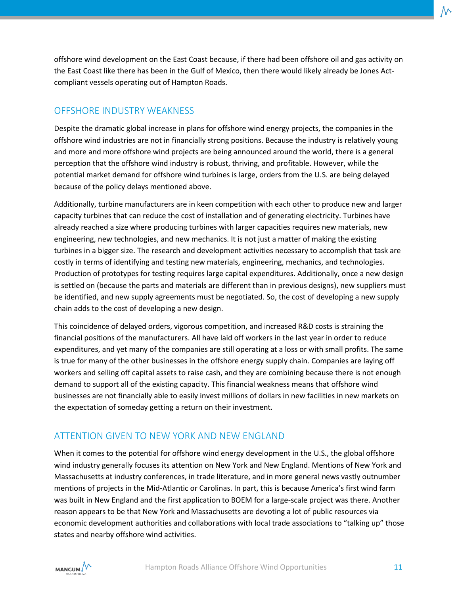offshore wind development on the East Coast because, if there had been offshore oil and gas activity on the East Coast like there has been in the Gulf of Mexico, then there would likely already be Jones Actcompliant vessels operating out of Hampton Roads.

#### <span id="page-13-0"></span>OFFSHORE INDUSTRY WEAKNESS

Despite the dramatic global increase in plans for offshore wind energy projects, the companies in the offshore wind industries are not in financially strong positions. Because the industry is relatively young and more and more offshore wind projects are being announced around the world, there is a general perception that the offshore wind industry is robust, thriving, and profitable. However, while the potential market demand for offshore wind turbines is large, orders from the U.S. are being delayed because of the policy delays mentioned above.

Additionally, turbine manufacturers are in keen competition with each other to produce new and larger capacity turbines that can reduce the cost of installation and of generating electricity. Turbines have already reached a size where producing turbines with larger capacities requires new materials, new engineering, new technologies, and new mechanics. It is not just a matter of making the existing turbines in a bigger size. The research and development activities necessary to accomplish that task are costly in terms of identifying and testing new materials, engineering, mechanics, and technologies. Production of prototypes for testing requires large capital expenditures. Additionally, once a new design is settled on (because the parts and materials are different than in previous designs), new suppliers must be identified, and new supply agreements must be negotiated. So, the cost of developing a new supply chain adds to the cost of developing a new design.

This coincidence of delayed orders, vigorous competition, and increased R&D costs is straining the financial positions of the manufacturers. All have laid off workers in the last year in order to reduce expenditures, and yet many of the companies are still operating at a loss or with small profits. The same is true for many of the other businesses in the offshore energy supply chain. Companies are laying off workers and selling off capital assets to raise cash, and they are combining because there is not enough demand to support all of the existing capacity. This financial weakness means that offshore wind businesses are not financially able to easily invest millions of dollars in new facilities in new markets on the expectation of someday getting a return on their investment.

#### <span id="page-13-1"></span>ATTENTION GIVEN TO NEW YORK AND NEW ENGLAND

When it comes to the potential for offshore wind energy development in the U.S., the global offshore wind industry generally focuses its attention on New York and New England. Mentions of New York and Massachusetts at industry conferences, in trade literature, and in more general news vastly outnumber mentions of projects in the Mid-Atlantic or Carolinas. In part, this is because America's first wind farm was built in New England and the first application to BOEM for a large-scale project was there. Another reason appears to be that New York and Massachusetts are devoting a lot of public resources via economic development authorities and collaborations with local trade associations to "talking up" those states and nearby offshore wind activities.

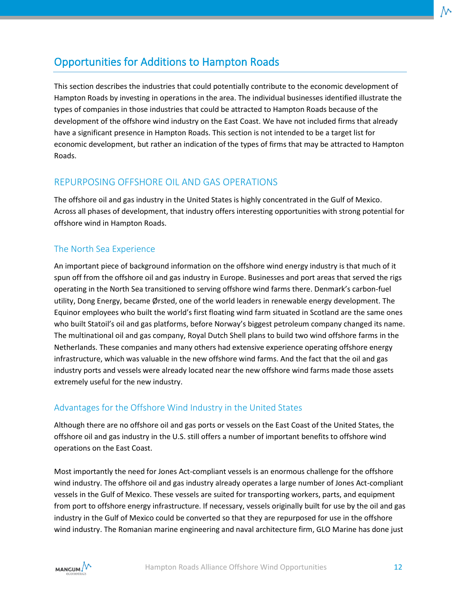# <span id="page-14-0"></span>Opportunities for Additions to Hampton Roads

This section describes the industries that could potentially contribute to the economic development of Hampton Roads by investing in operations in the area. The individual businesses identified illustrate the types of companies in those industries that could be attracted to Hampton Roads because of the development of the offshore wind industry on the East Coast. We have not included firms that already have a significant presence in Hampton Roads. This section is not intended to be a target list for economic development, but rather an indication of the types of firms that may be attracted to Hampton Roads.

#### <span id="page-14-1"></span>REPURPOSING OFFSHORE OIL AND GAS OPERATIONS

The offshore oil and gas industry in the United States is highly concentrated in the Gulf of Mexico. Across all phases of development, that industry offers interesting opportunities with strong potential for offshore wind in Hampton Roads.

#### <span id="page-14-2"></span>The North Sea Experience

An important piece of background information on the offshore wind energy industry is that much of it spun off from the offshore oil and gas industry in Europe. Businesses and port areas that served the rigs operating in the North Sea transitioned to serving offshore wind farms there. Denmark's carbon-fuel utility, Dong Energy, became Ørsted, one of the world leaders in renewable energy development. The Equinor employees who built the world's first floating wind farm situated in Scotland are the same ones who built Statoil's oil and gas platforms, before Norway's biggest petroleum company changed its name. The multinational oil and gas company, Royal Dutch Shell plans to build two wind offshore farms in the Netherlands. These companies and many others had extensive experience operating offshore energy infrastructure, which was valuable in the new offshore wind farms. And the fact that the oil and gas industry ports and vessels were already located near the new offshore wind farms made those assets extremely useful for the new industry.

#### <span id="page-14-3"></span>Advantages for the Offshore Wind Industry in the United States

Although there are no offshore oil and gas ports or vessels on the East Coast of the United States, the offshore oil and gas industry in the U.S. still offers a number of important benefits to offshore wind operations on the East Coast.

Most importantly the need for Jones Act-compliant vessels is an enormous challenge for the offshore wind industry. The offshore oil and gas industry already operates a large number of Jones Act-compliant vessels in the Gulf of Mexico. These vessels are suited for transporting workers, parts, and equipment from port to offshore energy infrastructure. If necessary, vessels originally built for use by the oil and gas industry in the Gulf of Mexico could be converted so that they are repurposed for use in the offshore wind industry. The Romanian marine engineering and naval architecture firm, GLO Marine has done just

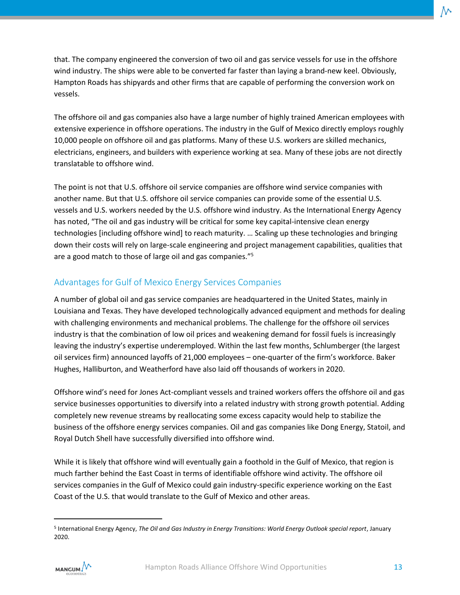that. The company engineered the conversion of two oil and gas service vessels for use in the offshore wind industry. The ships were able to be converted far faster than laying a brand-new keel. Obviously, Hampton Roads has shipyards and other firms that are capable of performing the conversion work on vessels.

The offshore oil and gas companies also have a large number of highly trained American employees with extensive experience in offshore operations. The industry in the Gulf of Mexico directly employs roughly 10,000 people on offshore oil and gas platforms. Many of these U.S. workers are skilled mechanics, electricians, engineers, and builders with experience working at sea. Many of these jobs are not directly translatable to offshore wind.

The point is not that U.S. offshore oil service companies are offshore wind service companies with another name. But that U.S. offshore oil service companies can provide some of the essential U.S. vessels and U.S. workers needed by the U.S. offshore wind industry. As the International Energy Agency has noted, "The oil and gas industry will be critical for some key capital-intensive clean energy technologies [including offshore wind] to reach maturity. … Scaling up these technologies and bringing down their costs will rely on large-scale engineering and project management capabilities, qualities that are a good match to those of large oil and gas companies." 5

#### <span id="page-15-0"></span>Advantages for Gulf of Mexico Energy Services Companies

A number of global oil and gas service companies are headquartered in the United States, mainly in Louisiana and Texas. They have developed technologically advanced equipment and methods for dealing with challenging environments and mechanical problems. The challenge for the offshore oil services industry is that the combination of low oil prices and weakening demand for fossil fuels is increasingly leaving the industry's expertise underemployed. Within the last few months, Schlumberger (the largest oil services firm) announced layoffs of 21,000 employees – one-quarter of the firm's workforce. Baker Hughes, Halliburton, and Weatherford have also laid off thousands of workers in 2020.

Offshore wind's need for Jones Act-compliant vessels and trained workers offers the offshore oil and gas service businesses opportunities to diversify into a related industry with strong growth potential. Adding completely new revenue streams by reallocating some excess capacity would help to stabilize the business of the offshore energy services companies. Oil and gas companies like Dong Energy, Statoil, and Royal Dutch Shell have successfully diversified into offshore wind.

While it is likely that offshore wind will eventually gain a foothold in the Gulf of Mexico, that region is much farther behind the East Coast in terms of identifiable offshore wind activity. The offshore oil services companies in the Gulf of Mexico could gain industry-specific experience working on the East Coast of the U.S. that would translate to the Gulf of Mexico and other areas.

<sup>5</sup> International Energy Agency, *The Oil and Gas Industry in Energy Transitions: World Energy Outlook special report*, January 2020.

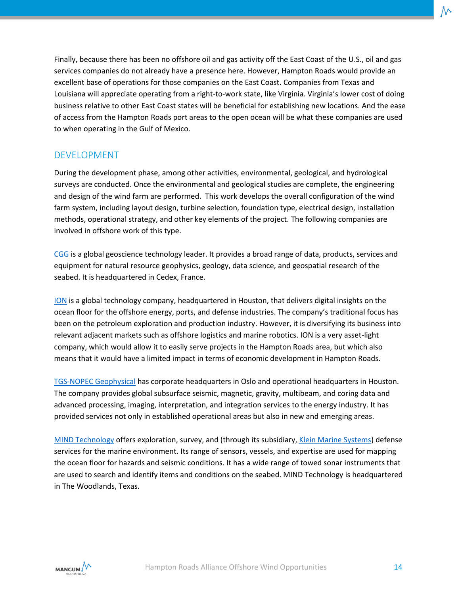Finally, because there has been no offshore oil and gas activity off the East Coast of the U.S., oil and gas services companies do not already have a presence here. However, Hampton Roads would provide an excellent base of operations for those companies on the East Coast. Companies from Texas and Louisiana will appreciate operating from a right-to-work state, like Virginia. Virginia's lower cost of doing business relative to other East Coast states will be beneficial for establishing new locations. And the ease of access from the Hampton Roads port areas to the open ocean will be what these companies are used to when operating in the Gulf of Mexico.

#### <span id="page-16-0"></span>DEVELOPMENT

During the development phase, among other activities, environmental, geological, and hydrological surveys are conducted. Once the environmental and geological studies are complete, the engineering and design of the wind farm are performed. This work develops the overall configuration of the wind farm system, including layout design, turbine selection, foundation type, electrical design, installation methods, operational strategy, and other key elements of the project. The following companies are involved in offshore work of this type.

[CGG](https://www.cgg.com/en) is a global geoscience technology leader. It provides a broad range of data, products, services and equipment for natural resource geophysics, geology, data science, and geospatial research of the seabed. It is headquartered in Cedex, France.

[ION](https://www.iongeo.com/) is a global technology company, headquartered in Houston, that delivers digital insights on the ocean floor for the offshore energy, ports, and defense industries. The company's traditional focus has been on the petroleum exploration and production industry. However, it is diversifying its business into relevant adjacent markets such as offshore logistics and marine robotics. ION is a very asset-light company, which would allow it to easily serve projects in the Hampton Roads area, but which also means that it would have a limited impact in terms of economic development in Hampton Roads.

[TGS-NOPEC Geophysical](https://www.tgs.com/) has corporate headquarters in Oslo and operational headquarters in Houston. The company provides global subsurface seismic, magnetic, gravity, multibeam, and coring data and advanced processing, imaging, interpretation, and integration services to the energy industry. It has provided services not only in established operational areas but also in new and emerging areas.

[MIND Technology](http://mind-technology.com/) offers exploration, survey, and (through its subsidiary, [Klein Marine Systems\)](http://kleinmarinesystems.com/products/maritime/) defense services for the marine environment. Its range of sensors, vessels, and expertise are used for mapping the ocean floor for hazards and seismic conditions. It has a wide range of towed sonar instruments that are used to search and identify items and conditions on the seabed. MIND Technology is headquartered in The Woodlands, Texas.

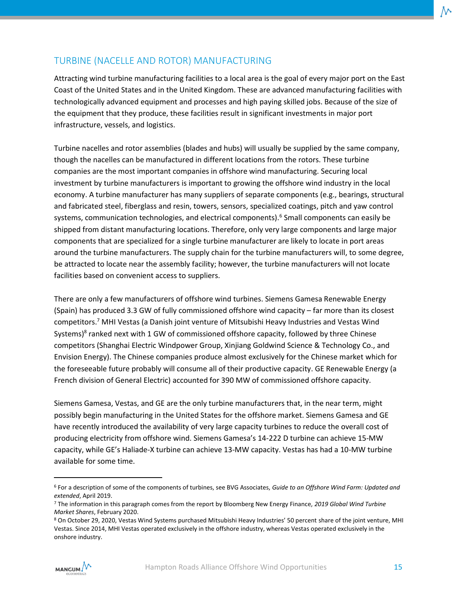#### <span id="page-17-0"></span>TURBINE (NACELLE AND ROTOR) MANUFACTURING

Attracting wind turbine manufacturing facilities to a local area is the goal of every major port on the East Coast of the United States and in the United Kingdom. These are advanced manufacturing facilities with technologically advanced equipment and processes and high paying skilled jobs. Because of the size of the equipment that they produce, these facilities result in significant investments in major port infrastructure, vessels, and logistics.

Turbine nacelles and rotor assemblies (blades and hubs) will usually be supplied by the same company, though the nacelles can be manufactured in different locations from the rotors. These turbine companies are the most important companies in offshore wind manufacturing. Securing local investment by turbine manufacturers is important to growing the offshore wind industry in the local economy. A turbine manufacturer has many suppliers of separate components (e.g., bearings, structural and fabricated steel, fiberglass and resin, towers, sensors, specialized coatings, pitch and yaw control systems, communication technologies, and electrical components).<sup>6</sup> Small components can easily be shipped from distant manufacturing locations. Therefore, only very large components and large major components that are specialized for a single turbine manufacturer are likely to locate in port areas around the turbine manufacturers. The supply chain for the turbine manufacturers will, to some degree, be attracted to locate near the assembly facility; however, the turbine manufacturers will not locate facilities based on convenient access to suppliers.

There are only a few manufacturers of offshore wind turbines. Siemens Gamesa Renewable Energy (Spain) has produced 3.3 GW of fully commissioned offshore wind capacity – far more than its closest competitors.<sup>7</sup> MHI Vestas (a Danish joint venture of Mitsubishi Heavy Industries and Vestas Wind Systems)<sup>8</sup> ranked next with 1 GW of commissioned offshore capacity, followed by three Chinese competitors (Shanghai Electric Windpower Group, Xinjiang Goldwind Science & Technology Co., and Envision Energy). The Chinese companies produce almost exclusively for the Chinese market which for the foreseeable future probably will consume all of their productive capacity. GE Renewable Energy (a French division of General Electric) accounted for 390 MW of commissioned offshore capacity.

Siemens Gamesa, Vestas, and GE are the only turbine manufacturers that, in the near term, might possibly begin manufacturing in the United States for the offshore market. Siemens Gamesa and GE have recently introduced the availability of very large capacity turbines to reduce the overall cost of producing electricity from offshore wind. Siemens Gamesa's 14-222 D turbine can achieve 15-MW capacity, while GE's Haliade-X turbine can achieve 13-MW capacity. Vestas has had a 10-MW turbine available for some time.

<sup>8</sup> On October 29, 2020, Vestas Wind Systems purchased Mitsubishi Heavy Industries' 50 percent share of the joint venture, MHI Vestas. Since 2014, MHI Vestas operated exclusively in the offshore industry, whereas Vestas operated exclusively in the onshore industry.



<sup>6</sup> For a description of some of the components of turbines, see BVG Associates, *Guide to an Offshore Wind Farm: Updated and extended*, April 2019.

<sup>7</sup> The information in this paragraph comes from the report by Bloomberg New Energy Finance, *2019 Global Wind Turbine Market Shares*, February 2020.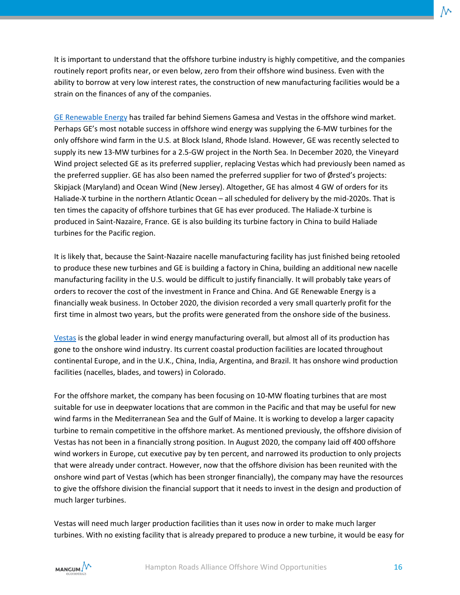It is important to understand that the offshore turbine industry is highly competitive, and the companies routinely report profits near, or even below, zero from their offshore wind business. Even with the ability to borrow at very low interest rates, the construction of new manufacturing facilities would be a strain on the finances of any of the companies.

[GE Renewable Energy](https://www.ge.com/renewableenergy/home) has trailed far behind Siemens Gamesa and Vestas in the offshore wind market. Perhaps GE's most notable success in offshore wind energy was supplying the 6-MW turbines for the only offshore wind farm in the U.S. at Block Island, Rhode Island. However, GE was recently selected to supply its new 13-MW turbines for a 2.5-GW project in the North Sea. In December 2020, the Vineyard Wind project selected GE as its preferred supplier, replacing Vestas which had previously been named as the preferred supplier. GE has also been named the preferred supplier for two of Ørsted's projects: Skipjack (Maryland) and Ocean Wind (New Jersey). Altogether, GE has almost 4 GW of orders for its Haliade-X turbine in the northern Atlantic Ocean – all scheduled for delivery by the mid-2020s. That is ten times the capacity of offshore turbines that GE has ever produced. The Haliade-X turbine is produced in Saint-Nazaire, France. GE is also building its turbine factory in China to build Haliade turbines for the Pacific region.

It is likely that, because the Saint-Nazaire nacelle manufacturing facility has just finished being retooled to produce these new turbines and GE is building a factory in China, building an additional new nacelle manufacturing facility in the U.S. would be difficult to justify financially. It will probably take years of orders to recover the cost of the investment in France and China. And GE Renewable Energy is a financially weak business. In October 2020, the division recorded a very small quarterly profit for the first time in almost two years, but the profits were generated from the onshore side of the business.

[Vestas](https://www.vestas.com/) is the global leader in wind energy manufacturing overall, but almost all of its production has gone to the onshore wind industry. Its current coastal production facilities are located throughout continental Europe, and in the U.K., China, India, Argentina, and Brazil. It has onshore wind production facilities (nacelles, blades, and towers) in Colorado.

For the offshore market, the company has been focusing on 10-MW floating turbines that are most suitable for use in deepwater locations that are common in the Pacific and that may be useful for new wind farms in the Mediterranean Sea and the Gulf of Maine. It is working to develop a larger capacity turbine to remain competitive in the offshore market. As mentioned previously, the offshore division of Vestas has not been in a financially strong position. In August 2020, the company laid off 400 offshore wind workers in Europe, cut executive pay by ten percent, and narrowed its production to only projects that were already under contract. However, now that the offshore division has been reunited with the onshore wind part of Vestas (which has been stronger financially), the company may have the resources to give the offshore division the financial support that it needs to invest in the design and production of much larger turbines.

Vestas will need much larger production facilities than it uses now in order to make much larger turbines. With no existing facility that is already prepared to produce a new turbine, it would be easy for

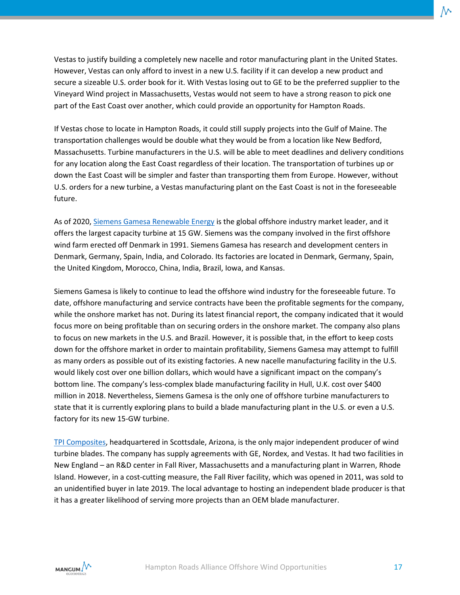Vestas to justify building a completely new nacelle and rotor manufacturing plant in the United States. However, Vestas can only afford to invest in a new U.S. facility if it can develop a new product and secure a sizeable U.S. order book for it. With Vestas losing out to GE to be the preferred supplier to the Vineyard Wind project in Massachusetts, Vestas would not seem to have a strong reason to pick one part of the East Coast over another, which could provide an opportunity for Hampton Roads.

If Vestas chose to locate in Hampton Roads, it could still supply projects into the Gulf of Maine. The transportation challenges would be double what they would be from a location like New Bedford, Massachusetts. Turbine manufacturers in the U.S. will be able to meet deadlines and delivery conditions for any location along the East Coast regardless of their location. The transportation of turbines up or down the East Coast will be simpler and faster than transporting them from Europe. However, without U.S. orders for a new turbine, a Vestas manufacturing plant on the East Coast is not in the foreseeable future.

As of 2020, [Siemens Gamesa Renewable Energy](https://www.siemensgamesa.com/en-int) is the global offshore industry market leader, and it offers the largest capacity turbine at 15 GW. Siemens was the company involved in the first offshore wind farm erected off Denmark in 1991. Siemens Gamesa has research and development centers in Denmark, Germany, Spain, India, and Colorado. Its factories are located in Denmark, Germany, Spain, the United Kingdom, Morocco, China, India, Brazil, Iowa, and Kansas.

Siemens Gamesa is likely to continue to lead the offshore wind industry for the foreseeable future. To date, offshore manufacturing and service contracts have been the profitable segments for the company, while the onshore market has not. During its latest financial report, the company indicated that it would focus more on being profitable than on securing orders in the onshore market. The company also plans to focus on new markets in the U.S. and Brazil. However, it is possible that, in the effort to keep costs down for the offshore market in order to maintain profitability, Siemens Gamesa may attempt to fulfill as many orders as possible out of its existing factories. A new nacelle manufacturing facility in the U.S. would likely cost over one billion dollars, which would have a significant impact on the company's bottom line. The company's less-complex blade manufacturing facility in Hull, U.K. cost over \$400 million in 2018. Nevertheless, Siemens Gamesa is the only one of offshore turbine manufacturers to state that it is currently exploring plans to build a blade manufacturing plant in the U.S. or even a U.S. factory for its new 15-GW turbine.

[TPI Composites,](https://www.tpicomposites.com/) headquartered in Scottsdale, Arizona, is the only major independent producer of wind turbine blades. The company has supply agreements with GE, Nordex, and Vestas. It had two facilities in New England – an R&D center in Fall River, Massachusetts and a manufacturing plant in Warren, Rhode Island. However, in a cost-cutting measure, the Fall River facility, which was opened in 2011, was sold to an unidentified buyer in late 2019. The local advantage to hosting an independent blade producer is that it has a greater likelihood of serving more projects than an OEM blade manufacturer.

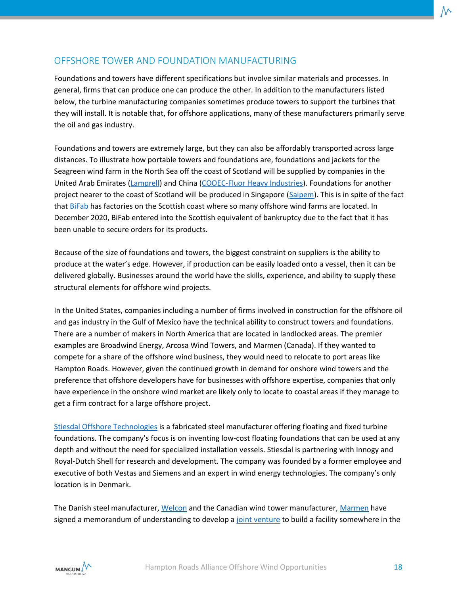#### <span id="page-20-0"></span>OFFSHORE TOWER AND FOUNDATION MANUFACTURING

Foundations and towers have different specifications but involve similar materials and processes. In general, firms that can produce one can produce the other. In addition to the manufacturers listed below, the turbine manufacturing companies sometimes produce towers to support the turbines that they will install. It is notable that, for offshore applications, many of these manufacturers primarily serve the oil and gas industry.

Foundations and towers are extremely large, but they can also be affordably transported across large distances. To illustrate how portable towers and foundations are, foundations and jackets for the Seagreen wind farm in the North Sea off the coast of Scotland will be supplied by companies in the United Arab Emirates [\(Lamprell\)](https://www.lamprell.com/) and China [\(COOEC-Fluor Heavy Industries\)](https://www.cooecfluor.com/client-industries/offshore-deepwater-subsea). Foundations for another project nearer to the coast of Scotland will be produced in Singapore [\(Saipem\)](https://www.saipem.com/en). This is in spite of the fact that [BiFab](http://www.bifab.co.uk/) has factories on the Scottish coast where so many offshore wind farms are located. In December 2020, BiFab entered into the Scottish equivalent of bankruptcy due to the fact that it has been unable to secure orders for its products.

Because of the size of foundations and towers, the biggest constraint on suppliers is the ability to produce at the water's edge. However, if production can be easily loaded onto a vessel, then it can be delivered globally. Businesses around the world have the skills, experience, and ability to supply these structural elements for offshore wind projects.

In the United States, companies including a number of firms involved in construction for the offshore oil and gas industry in the Gulf of Mexico have the technical ability to construct towers and foundations. There are a number of makers in North America that are located in landlocked areas. The premier examples are Broadwind Energy, Arcosa Wind Towers, and Marmen (Canada). If they wanted to compete for a share of the offshore wind business, they would need to relocate to port areas like Hampton Roads. However, given the continued growth in demand for onshore wind towers and the preference that offshore developers have for businesses with offshore expertise, companies that only have experience in the onshore wind market are likely only to locate to coastal areas if they manage to get a firm contract for a large offshore project.

[Stiesdal Offshore Technologies](https://www.stiesdal.com/offshore-windpower/) is a fabricated steel manufacturer offering floating and fixed turbine foundations. The company's focus is on inventing low-cost floating foundations that can be used at any depth and without the need for specialized installation vessels. Stiesdal is partnering with Innogy and Royal-Dutch Shell for research and development. The company was founded by a former employee and executive of both Vestas and Siemens and an expert in wind energy technologies. The company's only location is in Denmark.

The Danish steel manufacturer[, Welcon](https://www.welcon.dk/) and the Canadian wind tower manufacturer, [Marmen](https://marmeninc.com/en/services/wind-tower-fabrication) have signed a memorandum of understanding to develop a [joint venture](https://marmeninc.com/en/news/marmen-and-welcon-sign-a-memorandum-of-understanding-to-collaborate-on-us-offshore-wind-tower-fabrication) to build a facility somewhere in the

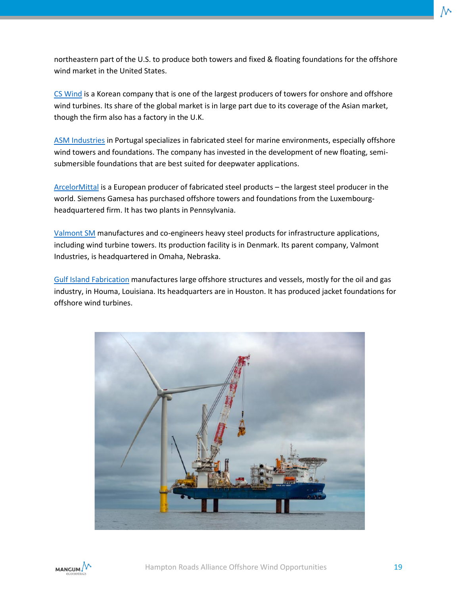northeastern part of the U.S. to produce both towers and fixed & floating foundations for the offshore wind market in the United States.

[CS Wind](http://www.cswind.com/eng/) is a Korean company that is one of the largest producers of towers for onshore and offshore wind turbines. Its share of the global market is in large part due to its coverage of the Asian market, though the firm also has a factory in the U.K.

[ASM Industries](https://asm-industries.com/en/home/) in Portugal specializes in fabricated steel for marine environments, especially offshore wind towers and foundations. The company has invested in the development of new floating, semisubmersible foundations that are best suited for deepwater applications.

[ArcelorMittal](https://corporate.arcelormittal.com/) is a European producer of fabricated steel products – the largest steel producer in the world. Siemens Gamesa has purchased offshore towers and foundations from the Luxembourgheadquartered firm. It has two plants in Pennsylvania.

[Valmont](https://www.valmontsm.com/) SM manufactures and co-engineers heavy steel products for infrastructure applications, including wind turbine towers. Its production facility is in Denmark. Its parent company, Valmont Industries, is headquartered in Omaha, Nebraska.

[Gulf Island Fabrication](https://www.gulfisland.com/) manufactures large offshore structures and vessels, mostly for the oil and gas industry, in Houma, Louisiana. Its headquarters are in Houston. It has produced jacket foundations for offshore wind turbines.



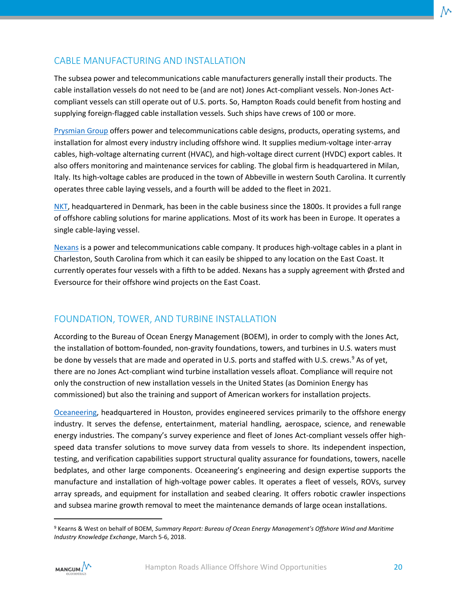#### <span id="page-22-0"></span>CABLE MANUFACTURING AND INSTALLATION

The subsea power and telecommunications cable manufacturers generally install their products. The cable installation vessels do not need to be (and are not) Jones Act-compliant vessels. Non-Jones Actcompliant vessels can still operate out of U.S. ports. So, Hampton Roads could benefit from hosting and supplying foreign-flagged cable installation vessels. Such ships have crews of 100 or more.

[Prysmian Group](https://www.prysmiangroup.com/en) offers power and telecommunications cable designs, products, operating systems, and installation for almost every industry including offshore wind. It supplies medium-voltage inter-array cables, high-voltage alternating current (HVAC), and high-voltage direct current (HVDC) export cables. It also offers monitoring and maintenance services for cabling. The global firm is headquartered in Milan, Italy. Its high-voltage cables are produced in the town of Abbeville in western South Carolina. It currently operates three cable laying vessels, and a fourth will be added to the fleet in 2021.

[NKT,](https://www.nkt.com/) headquartered in Denmark, has been in the cable business since the 1800s. It provides a full range of offshore cabling solutions for marine applications. Most of its work has been in Europe. It operates a single cable-laying vessel.

[Nexans](https://www.nexans.us/eservice/US-en_US/navigate_-26/Nexans_USA.html) is a power and telecommunications cable company. It produces high-voltage cables in a plant in Charleston, South Carolina from which it can easily be shipped to any location on the East Coast. It currently operates four vessels with a fifth to be added. Nexans has a supply agreement with Ørsted and Eversource for their offshore wind projects on the East Coast.

#### <span id="page-22-1"></span>FOUNDATION, TOWER, AND TURBINE INSTALLATION

According to the Bureau of Ocean Energy Management (BOEM), in order to comply with the Jones Act, the installation of bottom-founded, non-gravity foundations, towers, and turbines in U.S. waters must be done by vessels that are made and operated in U.S. ports and staffed with U.S. crews.<sup>9</sup> As of yet, there are no Jones Act-compliant wind turbine installation vessels afloat. Compliance will require not only the construction of new installation vessels in the United States (as Dominion Energy has commissioned) but also the training and support of American workers for installation projects.

[Oceaneering,](https://www.oceaneering.com/) headquartered in Houston, provides engineered services primarily to the offshore energy industry. It serves the defense, entertainment, material handling, aerospace, science, and renewable energy industries. The company's survey experience and fleet of Jones Act-compliant vessels offer highspeed data transfer solutions to move survey data from vessels to shore. Its independent inspection, testing, and verification capabilities support structural quality assurance for foundations, towers, nacelle bedplates, and other large components. Oceaneering's engineering and design expertise supports the manufacture and installation of high-voltage power cables. It operates a fleet of vessels, ROVs, survey array spreads, and equipment for installation and seabed clearing. It offers robotic crawler inspections and subsea marine growth removal to meet the maintenance demands of large ocean installations.

<sup>9</sup> Kearns & West on behalf of BOEM, *Summary Report: Bureau of Ocean Energy Management's Offshore Wind and Maritime Industry Knowledge Exchange*, March 5-6, 2018.

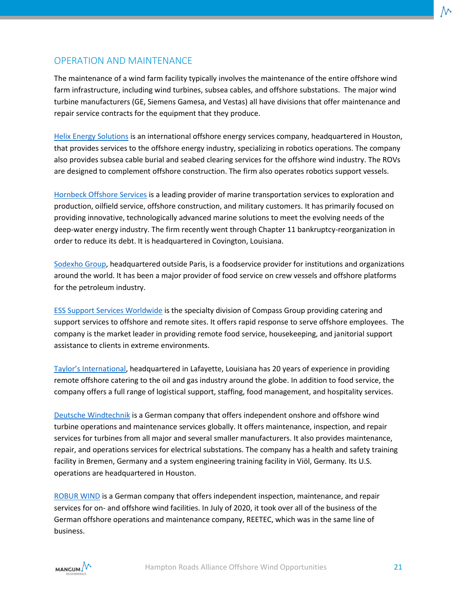#### <span id="page-23-0"></span>OPERATION AND MAINTENANCE

The maintenance of a wind farm facility typically involves the maintenance of the entire offshore wind farm infrastructure, including wind turbines, subsea cables, and offshore substations. The major wind turbine manufacturers (GE, Siemens Gamesa, and Vestas) all have divisions that offer maintenance and repair service contracts for the equipment that they produce.

[Helix Energy Solutions](https://www.helixesg.com/) is an international offshore energy services company, headquartered in Houston, that provides services to the offshore energy industry, specializing in robotics operations. The company also provides subsea cable burial and seabed clearing services for the offshore wind industry. The ROVs are designed to complement offshore construction. The firm also operates robotics support vessels.

[Hornbeck Offshore Services](https://hornbeckoffshore.com/) is a leading provider of marine transportation services to exploration and production, oilfield service, offshore construction, and military customers. It has primarily focused on providing innovative, technologically advanced marine solutions to meet the evolving needs of the deep-water energy industry. The firm recently went through Chapter 11 bankruptcy-reorganization in order to reduce its debt. It is headquartered in Covington, Louisiana.

[Sodexho Group,](https://us.sodexo.com/home.html) headquartered outside Paris, is a foodservice provider for institutions and organizations around the world. It has been a major provider of food service on crew vessels and offshore platforms for the petroleum industry.

[ESS Support Services Worldwide](https://www.essgulf.com/) is the specialty division of Compass Group providing catering and support services to offshore and remote sites. It offers rapid response to serve offshore employees. The company is the market leader in providing remote food service, housekeeping, and janitorial support assistance to clients in extreme environments.

[Taylor's International](https://taylors-international.com/), headquartered in Lafayette, Louisiana has 20 years of experience in providing remote offshore catering to the oil and gas industry around the globe. In addition to food service, the company offers a full range of logistical support, staffing, food management, and hospitality services.

[Deutsche Windtechnik](https://www.deutsche-windtechnik.com/usa) is a German company that offers independent onshore and offshore wind turbine operations and maintenance services globally. It offers maintenance, inspection, and repair services for turbines from all major and several smaller manufacturers. It also provides maintenance, repair, and operations services for electrical substations. The company has a health and safety training facility in Bremen, Germany and a system engineering training facility in Viöl, Germany. Its U.S. operations are headquartered in Houston.

[ROBUR WIND](https://www.robur-industry-service.com/en/industries/wind/) is a German company that offers independent inspection, maintenance, and repair services for on- and offshore wind facilities. In July of 2020, it took over all of the business of the German offshore operations and maintenance company, REETEC, which was in the same line of business.

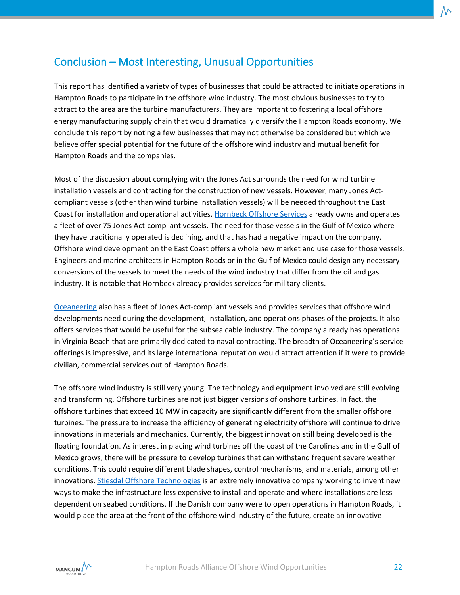# <span id="page-24-0"></span>Conclusion – Most Interesting, Unusual Opportunities

This report has identified a variety of types of businesses that could be attracted to initiate operations in Hampton Roads to participate in the offshore wind industry. The most obvious businesses to try to attract to the area are the turbine manufacturers. They are important to fostering a local offshore energy manufacturing supply chain that would dramatically diversify the Hampton Roads economy. We conclude this report by noting a few businesses that may not otherwise be considered but which we believe offer special potential for the future of the offshore wind industry and mutual benefit for Hampton Roads and the companies.

Most of the discussion about complying with the Jones Act surrounds the need for wind turbine installation vessels and contracting for the construction of new vessels. However, many Jones Actcompliant vessels (other than wind turbine installation vessels) will be needed throughout the East Coast for installation and operational activities[. Hornbeck Offshore Services](https://hornbeckoffshore.com/) already owns and operates a fleet of over 75 Jones Act-compliant vessels. The need for those vessels in the Gulf of Mexico where they have traditionally operated is declining, and that has had a negative impact on the company. Offshore wind development on the East Coast offers a whole new market and use case for those vessels. Engineers and marine architects in Hampton Roads or in the Gulf of Mexico could design any necessary conversions of the vessels to meet the needs of the wind industry that differ from the oil and gas industry. It is notable that Hornbeck already provides services for military clients.

[Oceaneering](https://www.oceaneering.com/) also has a fleet of Jones Act-compliant vessels and provides services that offshore wind developments need during the development, installation, and operations phases of the projects. It also offers services that would be useful for the subsea cable industry. The company already has operations in Virginia Beach that are primarily dedicated to naval contracting. The breadth of Oceaneering's service offerings is impressive, and its large international reputation would attract attention if it were to provide civilian, commercial services out of Hampton Roads.

The offshore wind industry is still very young. The technology and equipment involved are still evolving and transforming. Offshore turbines are not just bigger versions of onshore turbines. In fact, the offshore turbines that exceed 10 MW in capacity are significantly different from the smaller offshore turbines. The pressure to increase the efficiency of generating electricity offshore will continue to drive innovations in materials and mechanics. Currently, the biggest innovation still being developed is the floating foundation. As interest in placing wind turbines off the coast of the Carolinas and in the Gulf of Mexico grows, there will be pressure to develop turbines that can withstand frequent severe weather conditions. This could require different blade shapes, control mechanisms, and materials, among other innovations[. Stiesdal Offshore Technologies](https://www.stiesdal.com/offshore-windpower/) is an extremely innovative company working to invent new ways to make the infrastructure less expensive to install and operate and where installations are less dependent on seabed conditions. If the Danish company were to open operations in Hampton Roads, it would place the area at the front of the offshore wind industry of the future, create an innovative